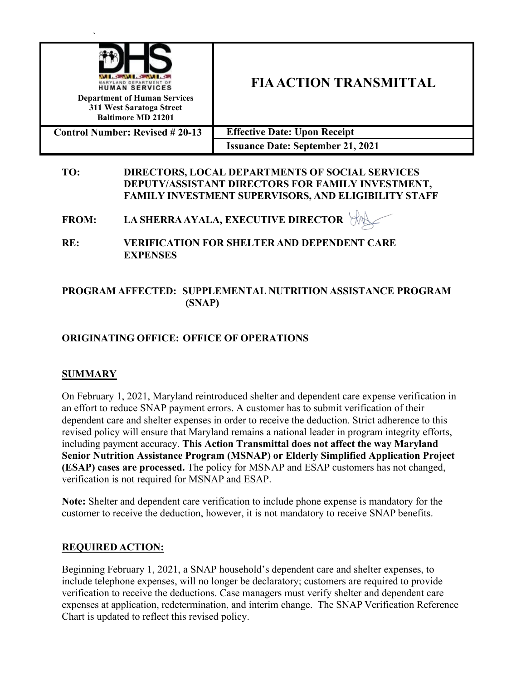| <b>HUMAN SERVICES</b><br><b>Department of Human Services</b><br>311 West Saratoga Street<br><b>Baltimore MD 21201</b> | <b>FIA ACTION TRANSMITTAL</b>            |
|-----------------------------------------------------------------------------------------------------------------------|------------------------------------------|
| <b>Control Number: Revised #20-13</b>                                                                                 | <b>Effective Date: Upon Receipt</b>      |
|                                                                                                                       | <b>Issuance Date: September 21, 2021</b> |

#### **TO: DIRECTORS, LOCAL DEPARTMENTS OF SOCIAL SERVICES DEPUTY/ASSISTANT DIRECTORS FOR FAMILY INVESTMENT, FAMILY INVESTMENT SUPERVISORS, AND ELIGIBILITY STAFF**

**FROM: LA SHERRAAYALA, EXECUTIVE DIRECTOR**

**RE: VERIFICATION FOR SHELTER AND DEPENDENT CARE EXPENSES**

## **PROGRAM AFFECTED: SUPPLEMENTAL NUTRITION ASSISTANCE PROGRAM (SNAP)**

# **ORIGINATING OFFICE: OFFICE OF OPERATIONS**

## **SUMMARY**

On February 1, 2021, Maryland reintroduced shelter and dependent care expense verification in an effort to reduce SNAP payment errors. A customer has to submit verification of their dependent care and shelter expenses in order to receive the deduction. Strict adherence to this revised policy will ensure that Maryland remains a national leader in program integrity efforts, including payment accuracy. **This Action Transmittal does not affect the way Maryland Senior Nutrition Assistance Program (MSNAP) or Elderly Simplified Application Project (ESAP) cases are processed.** The policy for MSNAP and ESAP customers has not changed, verification is not required for MSNAP and ESAP.

**Note:** Shelter and dependent care verification to include phone expense is mandatory for the customer to receive the deduction, however, it is not mandatory to receive SNAP benefits.

### **REQUIRED ACTION:**

Beginning February 1, 2021, a SNAP household's dependent care and shelter expenses, to include telephone expenses, will no longer be declaratory; customers are required to provide verification to receive the deductions. Case managers must verify shelter and dependent care expenses at application, redetermination, and interim change. The SNAP Verification Reference Chart is updated to reflect this revised policy.